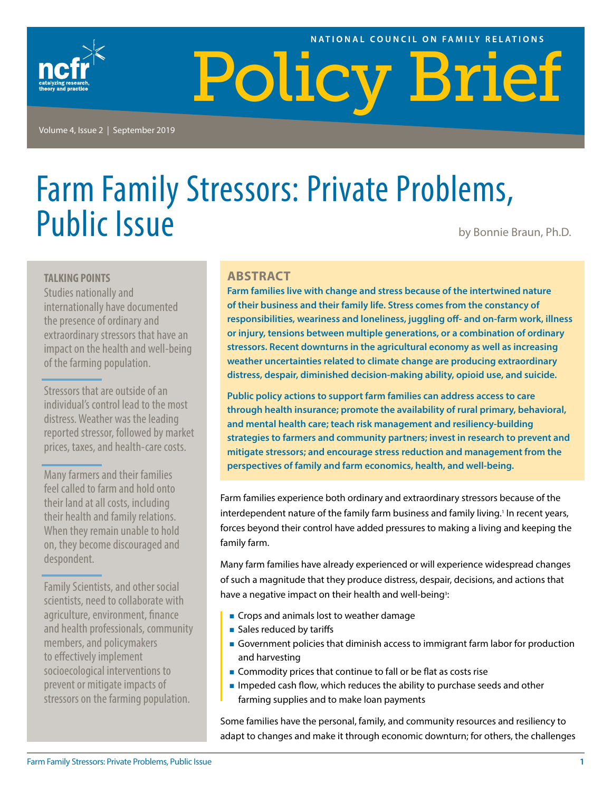#### NATIONAL COUNCIL ON FAMILY RELATIONS



Policy Brief

Volume 4, Issue 2 | September 2019

# Farm Family Stressors: Private Problems, Public Issue **by Bonnie Braun, Ph.D.**

#### **TALKING POINTS**

Studies nationally and internationally have documented the presence of ordinary and extraordinary stressors that have an impact on the health and well-being of the farming population.

Stressors that are outside of an individual's control lead to the most distress. Weather was the leading reported stressor, followed by market prices, taxes, and health-care costs.

Many farmers and their families feel called to farm and hold onto their land at all costs, including their health and family relations. When they remain unable to hold on, they become discouraged and despondent.

Family Scientists, and other social scientists, need to collaborate with agriculture, environment, finance and health professionals, community members, and policymakers to effectively implement socioecological interventions to prevent or mitigate impacts of stressors on the farming population.

#### **ABSTRACT**

**Farm families live with change and stress because of the intertwined nature of their business and their family life. Stress comes from the constancy of responsibilities, weariness and loneliness, juggling off- and on-farm work, illness or injury, tensions between multiple generations, or a combination of ordinary stressors. Recent downturns in the agricultural economy as well as increasing weather uncertainties related to climate change are producing extraordinary distress, despair, diminished decision-making ability, opioid use, and suicide.** 

**Public policy actions to support farm families can address access to care through health insurance; promote the availability of rural primary, behavioral, and mental health care; teach risk management and resiliency-building strategies to farmers and community partners; invest in research to prevent and mitigate stressors; and encourage stress reduction and management from the perspectives of family and farm economics, health, and well-being.**

Farm families experience both ordinary and extraordinary stressors because of the interdependent nature of the family farm business and family living.<sup>1</sup> In recent years, forces beyond their control have added pressures to making a living and keeping the family farm.

Many farm families have already experienced or will experience widespread changes of such a magnitude that they produce distress, despair, decisions, and actions that have a negative impact on their health and well-being<sup>3</sup>:

- Crops and animals lost to weather damage
- Sales reduced by tariffs
- Government policies that diminish access to immigrant farm labor for production and harvesting
- **Commodity prices that continue to fall or be flat as costs rise**
- **IMPEDED 19 Impeded cash flow, which reduces the ability to purchase seeds and other** farming supplies and to make loan payments

Some families have the personal, family, and community resources and resiliency to adapt to changes and make it through economic downturn; for others, the challenges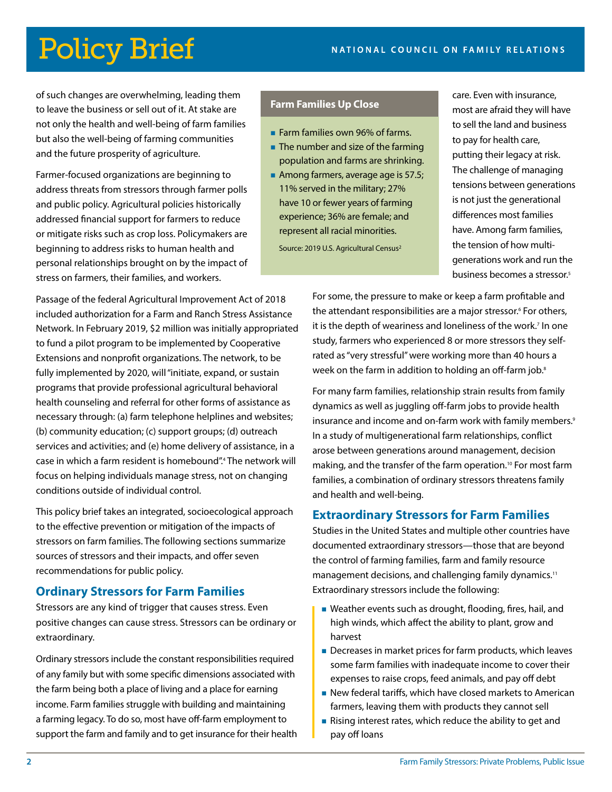of such changes are overwhelming, leading them to leave the business or sell out of it. At stake are not only the health and well-being of farm families but also the well-being of farming communities and the future prosperity of agriculture.

Farmer-focused organizations are beginning to address threats from stressors through farmer polls and public policy. Agricultural policies historically addressed financial support for farmers to reduce or mitigate risks such as crop loss. Policymakers are beginning to address risks to human health and personal relationships brought on by the impact of stress on farmers, their families, and workers.

Passage of the federal Agricultural Improvement Act of 2018 included authorization for a Farm and Ranch Stress Assistance Network. In February 2019, \$2 million was initially appropriated to fund a pilot program to be implemented by Cooperative Extensions and nonprofit organizations. The network, to be fully implemented by 2020, will "initiate, expand, or sustain programs that provide professional agricultural behavioral health counseling and referral for other forms of assistance as necessary through: (a) farm telephone helplines and websites; (b) community education; (c) support groups; (d) outreach services and activities; and (e) home delivery of assistance, in a case in which a farm resident is homebound".4 The network will focus on helping individuals manage stress, not on changing conditions outside of individual control.

This policy brief takes an integrated, socioecological approach to the effective prevention or mitigation of the impacts of stressors on farm families. The following sections summarize sources of stressors and their impacts, and offer seven recommendations for public policy.

#### **Ordinary Stressors for Farm Families**

Stressors are any kind of trigger that causes stress. Even positive changes can cause stress. Stressors can be ordinary or extraordinary.

Ordinary stressors include the constant responsibilities required of any family but with some specific dimensions associated with the farm being both a place of living and a place for earning income. Farm families struggle with building and maintaining a farming legacy. To do so, most have off-farm employment to support the farm and family and to get insurance for their health

#### **Farm Families Up Close**

- **Farm families own 96% of farms.**
- **The number and size of the farming** population and farms are shrinking.
- Among farmers, average age is 57.5; 11% served in the military; 27% have 10 or fewer years of farming experience; 36% are female; and represent all racial minorities.

Source: 2019 U.S. Agricultural Census2

care. Even with insurance, most are afraid they will have to sell the land and business to pay for health care, putting their legacy at risk. The challenge of managing tensions between generations is not just the generational differences most families have. Among farm families, the tension of how multigenerations work and run the business becomes a stressor.<sup>5</sup>

For some, the pressure to make or keep a farm profitable and the attendant responsibilities are a major stressor.<sup>6</sup> For others, it is the depth of weariness and loneliness of the work.<sup>7</sup> In one study, farmers who experienced 8 or more stressors they selfrated as "very stressful" were working more than 40 hours a week on the farm in addition to holding an off-farm job.<sup>8</sup>

For many farm families, relationship strain results from family dynamics as well as juggling off-farm jobs to provide health insurance and income and on-farm work with family members.<sup>9</sup> In a study of multigenerational farm relationships, conflict arose between generations around management, decision making, and the transfer of the farm operation.<sup>10</sup> For most farm families, a combination of ordinary stressors threatens family and health and well-being.

#### **Extraordinary Stressors for Farm Families**

Studies in the United States and multiple other countries have documented extraordinary stressors—those that are beyond the control of farming families, farm and family resource management decisions, and challenging family dynamics.11 Extraordinary stressors include the following:

- Weather events such as drought, flooding, fires, hail, and high winds, which affect the ability to plant, grow and harvest
- Decreases in market prices for farm products, which leaves some farm families with inadequate income to cover their expenses to raise crops, feed animals, and pay off debt
- New federal tariffs, which have closed markets to American farmers, leaving them with products they cannot sell
- Rising interest rates, which reduce the ability to get and pay off loans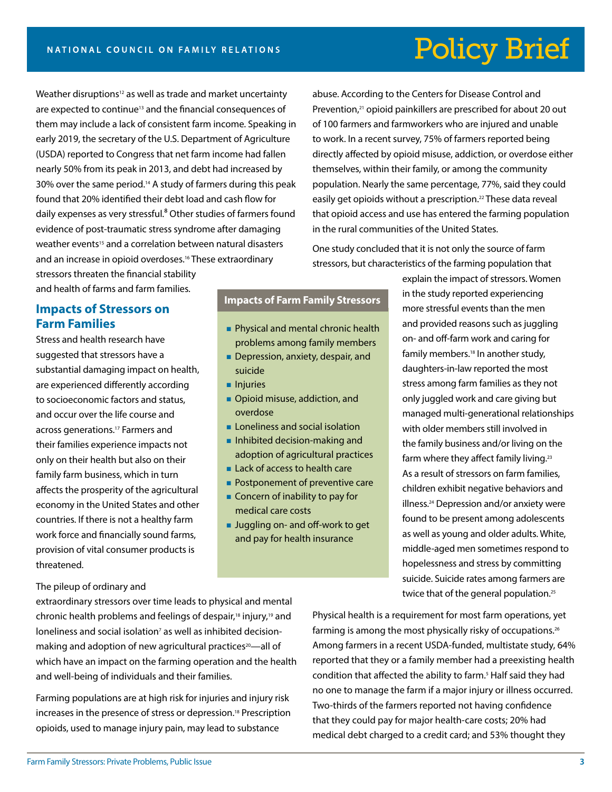Weather disruptions<sup>12</sup> as well as trade and market uncertainty are expected to continue<sup>13</sup> and the financial consequences of them may include a lack of consistent farm income. Speaking in early 2019, the secretary of the U.S. Department of Agriculture (USDA) reported to Congress that net farm income had fallen nearly 50% from its peak in 2013, and debt had increased by 30% over the same period.14 A study of farmers during this peak found that 20% identified their debt load and cash flow for daily expenses as very stressful.<sup>8</sup> Other studies of farmers found evidence of post-traumatic stress syndrome after damaging weather events<sup>15</sup> and a correlation between natural disasters and an increase in opioid overdoses.<sup>16</sup> These extraordinary stressors threaten the financial stability

abuse. According to the Centers for Disease Control and Prevention,<sup>21</sup> opioid painkillers are prescribed for about 20 out of 100 farmers and farmworkers who are injured and unable to work. In a recent survey, 75% of farmers reported being directly affected by opioid misuse, addiction, or overdose either themselves, within their family, or among the community population. Nearly the same percentage, 77%, said they could easily get opioids without a prescription.<sup>22</sup> These data reveal that opioid access and use has entered the farming population in the rural communities of the United States.

One study concluded that it is not only the source of farm stressors, but characteristics of the farming population that

and health of farms and farm families.

#### **Impacts of Stressors on Farm Families**

Stress and health research have suggested that stressors have a substantial damaging impact on health, are experienced differently according to socioeconomic factors and status, and occur over the life course and across generations.17 Farmers and their families experience impacts not only on their health but also on their family farm business, which in turn affects the prosperity of the agricultural economy in the United States and other countries. If there is not a healthy farm work force and financially sound farms, provision of vital consumer products is threatened.

#### **Impacts of Farm Family Stressors**

- **Physical and mental chronic health** problems among family members
- Depression, anxiety, despair, and suicide
- **Injuries**
- **Opioid misuse, addiction, and** overdose
- **Loneliness and social isolation**
- **Inhibited decision-making and** adoption of agricultural practices
- **Lack of access to health care**
- **Postponement of preventive care**
- **Concern of inability to pay for** medical care costs
- **Juggling on- and off-work to get** and pay for health insurance

explain the impact of stressors. Women in the study reported experiencing more stressful events than the men and provided reasons such as juggling on- and off-farm work and caring for family members.18 In another study, daughters-in-law reported the most stress among farm families as they not only juggled work and care giving but managed multi-generational relationships with older members still involved in the family business and/or living on the farm where they affect family living.<sup>23</sup> As a result of stressors on farm families, children exhibit negative behaviors and illness.24 Depression and/or anxiety were found to be present among adolescents as well as young and older adults. White, middle-aged men sometimes respond to hopelessness and stress by committing suicide. Suicide rates among farmers are twice that of the general population.<sup>25</sup>

#### The pileup of ordinary and

extraordinary stressors over time leads to physical and mental chronic health problems and feelings of despair,18 injury,19 and loneliness and social isolation<sup>7</sup> as well as inhibited decisionmaking and adoption of new agricultural practices<sup>20</sup>—all of which have an impact on the farming operation and the health and well-being of individuals and their families.

Farming populations are at high risk for injuries and injury risk increases in the presence of stress or depression.<sup>18</sup> Prescription opioids, used to manage injury pain, may lead to substance

Physical health is a requirement for most farm operations, yet farming is among the most physically risky of occupations.26 Among farmers in a recent USDA-funded, multistate study, 64% reported that they or a family member had a preexisting health condition that affected the ability to farm.<sup>5</sup> Half said they had no one to manage the farm if a major injury or illness occurred. Two-thirds of the farmers reported not having confidence that they could pay for major health-care costs; 20% had medical debt charged to a credit card; and 53% thought they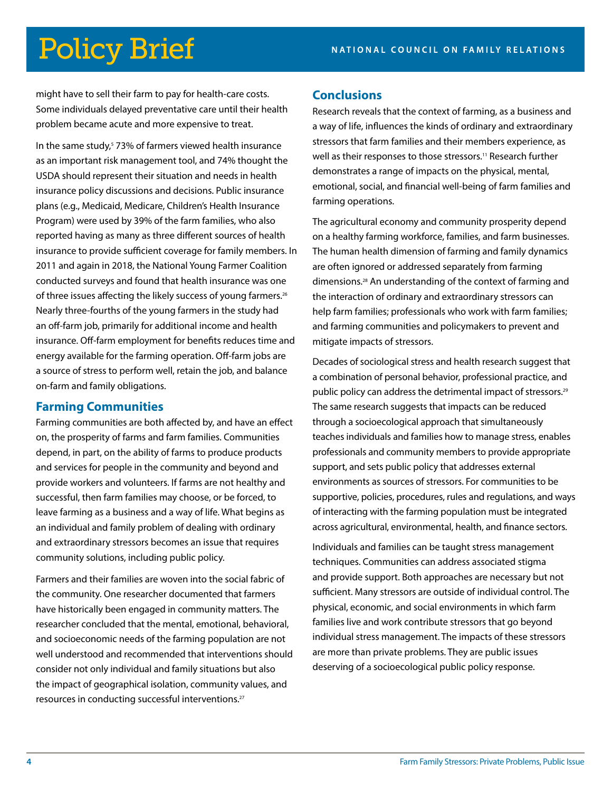might have to sell their farm to pay for health-care costs. Some individuals delayed preventative care until their health problem became acute and more expensive to treat.

In the same study,<sup>5</sup> 73% of farmers viewed health insurance as an important risk management tool, and 74% thought the USDA should represent their situation and needs in health insurance policy discussions and decisions. Public insurance plans (e.g., Medicaid, Medicare, Children's Health Insurance Program) were used by 39% of the farm families, who also reported having as many as three different sources of health insurance to provide sufficient coverage for family members. In 2011 and again in 2018, the National Young Farmer Coalition conducted surveys and found that health insurance was one of three issues affecting the likely success of young farmers.<sup>26</sup> Nearly three-fourths of the young farmers in the study had an off-farm job, primarily for additional income and health insurance. Off-farm employment for benefits reduces time and energy available for the farming operation. Off-farm jobs are a source of stress to perform well, retain the job, and balance on-farm and family obligations.

### **Farming Communities**

Farming communities are both affected by, and have an effect on, the prosperity of farms and farm families. Communities depend, in part, on the ability of farms to produce products and services for people in the community and beyond and provide workers and volunteers. If farms are not healthy and successful, then farm families may choose, or be forced, to leave farming as a business and a way of life. What begins as an individual and family problem of dealing with ordinary and extraordinary stressors becomes an issue that requires community solutions, including public policy.

Farmers and their families are woven into the social fabric of the community. One researcher documented that farmers have historically been engaged in community matters. The researcher concluded that the mental, emotional, behavioral, and socioeconomic needs of the farming population are not well understood and recommended that interventions should consider not only individual and family situations but also the impact of geographical isolation, community values, and resources in conducting successful interventions.<sup>27</sup>

#### **Conclusions**

Research reveals that the context of farming, as a business and a way of life, influences the kinds of ordinary and extraordinary stressors that farm families and their members experience, as well as their responses to those stressors.<sup>11</sup> Research further demonstrates a range of impacts on the physical, mental, emotional, social, and financial well-being of farm families and farming operations.

The agricultural economy and community prosperity depend on a healthy farming workforce, families, and farm businesses. The human health dimension of farming and family dynamics are often ignored or addressed separately from farming dimensions.28 An understanding of the context of farming and the interaction of ordinary and extraordinary stressors can help farm families; professionals who work with farm families; and farming communities and policymakers to prevent and mitigate impacts of stressors.

Decades of sociological stress and health research suggest that a combination of personal behavior, professional practice, and public policy can address the detrimental impact of stressors.29 The same research suggests that impacts can be reduced through a socioecological approach that simultaneously teaches individuals and families how to manage stress, enables professionals and community members to provide appropriate support, and sets public policy that addresses external environments as sources of stressors. For communities to be supportive, policies, procedures, rules and regulations, and ways of interacting with the farming population must be integrated across agricultural, environmental, health, and finance sectors.

Individuals and families can be taught stress management techniques. Communities can address associated stigma and provide support. Both approaches are necessary but not sufficient. Many stressors are outside of individual control. The physical, economic, and social environments in which farm families live and work contribute stressors that go beyond individual stress management. The impacts of these stressors are more than private problems. They are public issues deserving of a socioecological public policy response.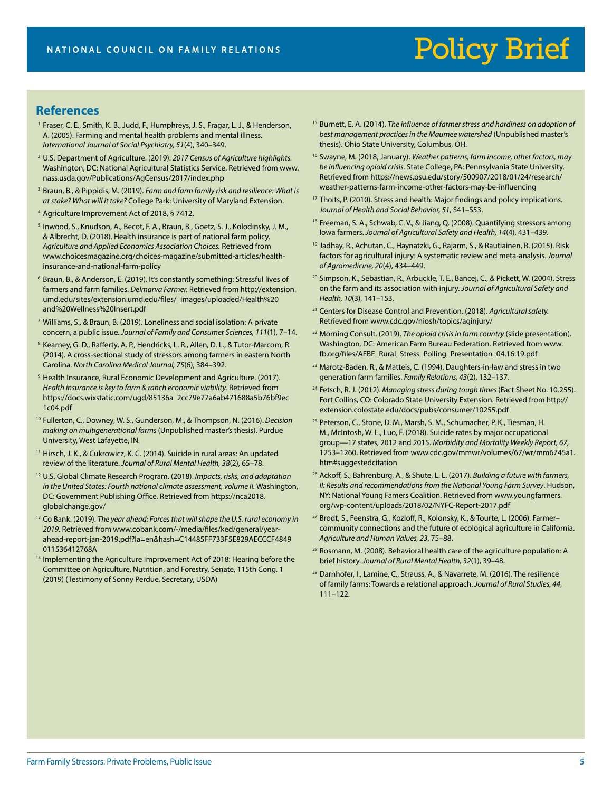#### **References**

- <sup>1</sup> Fraser, C. E., Smith, K. B., Judd, F., Humphreys, J. S., Fragar, L. J., & Henderson, A. (2005). Farming and mental health problems and mental illness. *International Journal of Social Psychiatry, 51*(4), 340–349.
- <sup>2</sup> U.S. Department of Agriculture. (2019). *2017 Census of Agriculture highlights.*  Washington, DC: National Agricultural Statistics Service. Retrieved from www. nass.usda.gov/Publications/AgCensus/2017/index.php
- <sup>3</sup> Braun, B., & Pippidis, M. (2019). *Farm and farm family risk and resilience: What is at stake? What will it take?* College Park: University of Maryland Extension.
- <sup>4</sup> Agriculture Improvement Act of 2018, § 7412.
- <sup>5</sup> Inwood, S., Knudson, A., Becot, F. A., Braun, B., Goetz, S. J., Kolodinsky, J. M., & Albrecht, D. (2018). Health insurance is part of national farm policy. *Agriculture and Applied Economics Association Choices.* Retrieved from www.choicesmagazine.org/choices-magazine/submitted-articles/healthinsurance-and-national-farm-policy
- <sup>6</sup> Braun, B., & Anderson, E. (2019). It's constantly something: Stressful lives of farmers and farm families. *Delmarva Farmer.* Retrieved from http://extension. umd.edu/sites/extension.umd.edu/files/\_images/uploaded/Health%20 and%20Wellness%20Insert.pdf
- <sup>7</sup> Williams, S., & Braun, B. (2019). Loneliness and social isolation: A private concern, a public issue. *Journal of Family and Consumer Sciences, 111*(1), 7–14.
- <sup>8</sup> Kearney, G. D., Rafferty, A. P., Hendricks, L. R., Allen, D. L., & Tutor-Marcom, R. (2014). A cross-sectional study of stressors among farmers in eastern North Carolina. *North Carolina Medical Journal, 75*(6), 384–392.
- <sup>9</sup> Health Insurance, Rural Economic Development and Agriculture. (2017). *Health insurance is key to farm & ranch economic viability.* Retrieved from https://docs.wixstatic.com/ugd/85136a\_2cc79e77a6ab471688a5b76bf9ec 1c04.pdf
- <sup>10</sup> Fullerton, C., Downey, W. S., Gunderson, M., & Thompson, N. (2016). *Decision making on multigenerational farms* (Unpublished master's thesis). Purdue University, West Lafayette, IN.
- <sup>11</sup> Hirsch, J. K., & Cukrowicz, K. C. (2014). Suicide in rural areas: An updated review of the literature. *Journal of Rural Mental Health, 38*(2), 65–78.
- <sup>12</sup> U.S. Global Climate Research Program. (2018). *Impacts, risks, and adaptation*  in the United States: Fourth national climate assessment, volume II. Washington, DC: Government Publishing Office. Retrieved from https://nca2018. globalchange.gov/
- <sup>13</sup> Co Bank. (2019). *The year ahead: Forces that will shape the U.S. rural economy in 2019*. Retrieved from www.cobank.com/-/media/files/ked/general/yearahead-report-jan-2019.pdf?la=en&hash=C14485FF733F5E829AECCCF4849 011536412768A
- <sup>14</sup> Implementing the Agriculture Improvement Act of 2018: Hearing before the Committee on Agriculture, Nutrition, and Forestry, Senate, 115th Cong. 1 (2019) (Testimony of Sonny Perdue, Secretary, USDA)
- <sup>15</sup> Burnett, E. A. (2014). *The influence of farmer stress and hardiness on adoption of best management practices in the Maumee watershed* (Unpublished master's thesis). Ohio State University, Columbus, OH.
- <sup>16</sup> Swayne, M. (2018, January). *Weather patterns, farm income, other factors, may be influencing opioid crisis.* State College, PA: Pennsylvania State University. Retrieved from https://news.psu.edu/story/500907/2018/01/24/research/ weather-patterns-farm-income-other-factors-may-be-influencing
- <sup>17</sup> Thoits, P. (2010). Stress and health: Major findings and policy implications. *Journal of Health and Social Behavior, 51*, S41–S53.
- <sup>18</sup> Freeman, S. A., Schwab, C. V., & Jiang, Q. (2008). Quantifying stressors among Iowa farmers. *Journal of Agricultural Safety and Health, 14*(4), 431–439.
- <sup>19</sup> Jadhay, R., Achutan, C., Haynatzki, G., Rajarm, S., & Rautiainen, R. (2015). Risk factors for agricultural injury: A systematic review and meta-analysis. *Journal of Agromedicine, 20*(4), 434–449.
- <sup>20</sup> Simpson, K., Sebastian, R., Arbuckle, T. E., Bancej, C., & Pickett, W. (2004). Stress on the farm and its association with injury. *Journal of Agricultural Safety and Health, 10*(3), 141–153.
- <sup>21</sup> Centers for Disease Control and Prevention. (2018). *Agricultural safety.*  Retrieved from www.cdc.gov/niosh/topics/aginjury/
- <sup>22</sup> Morning Consult. (2019). *The opioid crisis in farm country* (slide presentation). Washington, DC: American Farm Bureau Federation. Retrieved from www. fb.org/files/AFBF\_Rural\_Stress\_Polling\_Presentation\_04.16.19.pdf
- <sup>23</sup> Marotz-Baden, R., & Matteis, C. (1994). Daughters-in-law and stress in two generation farm families. *Family Relations, 43*(2), 132–137.
- <sup>24</sup> Fetsch, R. J. (2012). *Managing stress during tough times* (Fact Sheet No. 10.255). Fort Collins, CO: Colorado State University Extension. Retrieved from http:// extension.colostate.edu/docs/pubs/consumer/10255.pdf
- <sup>25</sup> Peterson, C., Stone, D. M., Marsh, S. M., Schumacher, P. K., Tiesman, H. M., McIntosh, W. L., Luo, F. (2018). Suicide rates by major occupational group—17 states, 2012 and 2015. *Morbidity and Mortality Weekly Report, 67*, 1253–1260. Retrieved from www.cdc.gov/mmwr/volumes/67/wr/mm6745a1. htm#suggestedcitation
- <sup>26</sup> Ackoff, S., Bahrenburg, A., & Shute, L. L. (2017). *Building a future with farmers, II: Results and recommendations from the National Young Farm Survey*. Hudson, NY: National Young Famers Coalition. Retrieved from www.youngfarmers. org/wp-content/uploads/2018/02/NYFC-Report-2017.pdf
- <sup>27</sup> Brodt, S., Feenstra, G., Kozloff, R., Kolonsky, K., & Tourte, L. (2006). Farmer– community connections and the future of ecological agriculture in California. *Agriculture and Human Values, 23*, 75–88.
- <sup>28</sup> Rosmann, M. (2008). Behavioral health care of the agriculture population: A brief history. *Journal of Rural Mental Health, 32*(1), 39–48.
- <sup>29</sup> Darnhofer, I., Lamine, C., Strauss, A., & Navarrete, M. (2016). The resilience of family farms: Towards a relational approach. *Journal of Rural Studies, 44*, 111–122.